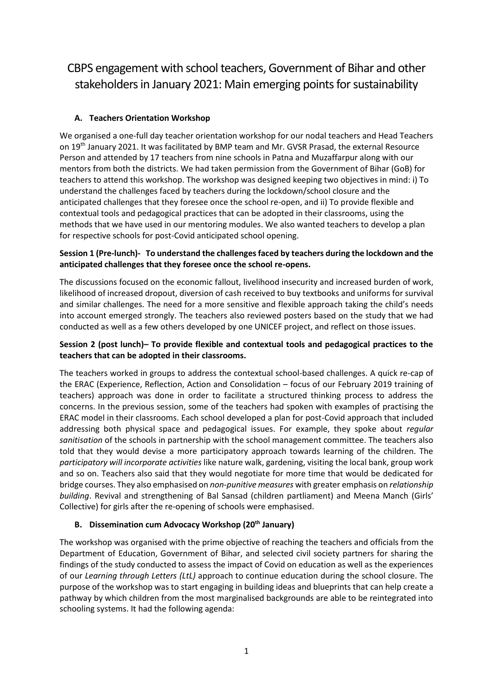CBPS engagement with school teachers, Government of Bihar and other stakeholders in January 2021: Main emerging points for sustainability

## **A. Teachers Orientation Workshop**

We organised a one-full day teacher orientation workshop for our nodal teachers and Head Teachers on 19th January 2021. It was facilitated by BMP team and Mr. GVSR Prasad, the external Resource Person and attended by 17 teachers from nine schools in Patna and Muzaffarpur along with our mentors from both the districts. We had taken permission from the Government of Bihar (GoB) for teachers to attend this workshop. The workshop was designed keeping two objectives in mind: i) To understand the challenges faced by teachers during the lockdown/school closure and the anticipated challenges that they foresee once the school re-open, and ii) To provide flexible and contextual tools and pedagogical practices that can be adopted in their classrooms, using the methods that we have used in our mentoring modules. We also wanted teachers to develop a plan for respective schools for post-Covid anticipated school opening.

## **Session 1 (Pre-lunch)- To understand the challenges faced by teachers during the lockdown and the anticipated challenges that they foresee once the school re-opens.**

The discussions focused on the economic fallout, livelihood insecurity and increased burden of work, likelihood of increased dropout, diversion of cash received to buy textbooks and uniforms for survival and similar challenges. The need for a more sensitive and flexible approach taking the child's needs into account emerged strongly. The teachers also reviewed posters based on the study that we had conducted as well as a few others developed by one UNICEF project, and reflect on those issues.

## **Session 2 (post lunch)– To provide flexible and contextual tools and pedagogical practices to the teachers that can be adopted in their classrooms.**

The teachers worked in groups to address the contextual school-based challenges. A quick re-cap of the ERAC (Experience, Reflection, Action and Consolidation – focus of our February 2019 training of teachers) approach was done in order to facilitate a structured thinking process to address the concerns. In the previous session, some of the teachers had spoken with examples of practising the ERAC model in their classrooms. Each school developed a plan for post-Covid approach that included addressing both physical space and pedagogical issues. For example, they spoke about *regular sanitisation* of the schools in partnership with the school management committee. The teachers also told that they would devise a more participatory approach towards learning of the children. The *participatory will incorporate activities* like nature walk, gardening, visiting the local bank, group work and so on. Teachers also said that they would negotiate for more time that would be dedicated for bridge courses. They also emphasised on *non-punitive measures* with greater emphasis on *relationship building*. Revival and strengthening of Bal Sansad (children partliament) and Meena Manch (Girls' Collective) for girls after the re-opening of schools were emphasised.

## **B. Dissemination cum Advocacy Workshop (20th January)**

The workshop was organised with the prime objective of reaching the teachers and officials from the Department of Education, Government of Bihar, and selected civil society partners for sharing the findings of the study conducted to assess the impact of Covid on education as well as the experiences of our *Learning through Letters (LtL)* approach to continue education during the school closure. The purpose of the workshop was to start engaging in building ideas and blueprints that can help create a pathway by which children from the most marginalised backgrounds are able to be reintegrated into schooling systems. It had the following agenda: